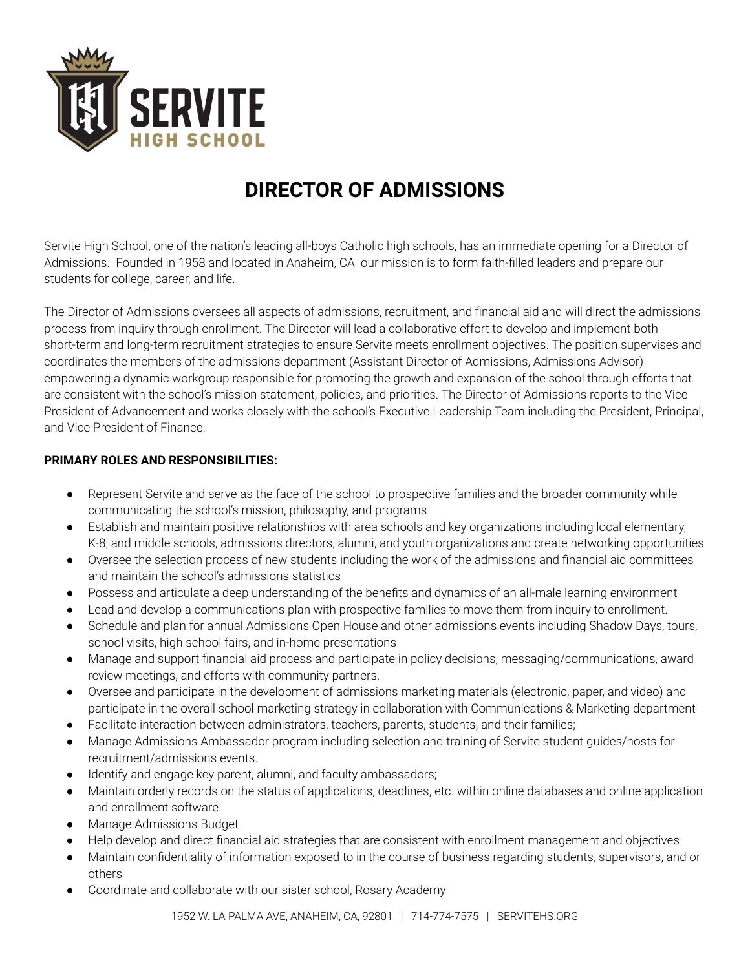

## **DIRECTOR OF ADMISSIONS**

Servite High School, one of the nation's leading all-boys Catholic high schools, has an immediate opening for a Director of Admissions. Founded in 1958 and located in Anaheim, CA our mission is to form faith-filled leaders and prepare our students for college, career, and life.

The Director of Admissions oversees all aspects of admissions, recruitment, and financial aid and will direct the admissions process from inquiry through enrollment. The Director will lead a collaborative effort to develop and implement both short-term and long-term recruitment strategies to ensure Servite meets enrollment objectives. The position supervises and coordinates the members of the admissions department (Assistant Director of Admissions, Admissions Advisor) empowering a dynamic workgroup responsible for promoting the growth and expansion of the school through efforts that are consistent with the school's mission statement, policies, and priorities. The Director of Admissions reports to the Vice President of Advancement and works closely with the school's Executive Leadership Team including the President, Principal, and Vice President of Finance.

## **PRIMARY ROLES AND RESPONSIBILITIES:**

- Represent Servite and serve as the face of the school to prospective families and the broader community while communicating the school's mission, philosophy, and programs
- Establish and maintain positive relationships with area schools and key organizations including local elementary, K-8, and middle schools, admissions directors, alumni, and youth organizations and create networking opportunities
- Oversee the selection process of new students including the work of the admissions and financial aid committees and maintain the school's admissions statistics
- Possess and articulate a deep understanding of the benefits and dynamics of an all-male learning environment
- Lead and develop a communications plan with prospective families to move them from inquiry to enrollment.
- Schedule and plan for annual Admissions Open House and other admissions events including Shadow Days, tours, school visits, high school fairs, and in-home presentations
- Manage and support financial aid process and participate in policy decisions, messaging/communications, award review meetings, and efforts with community partners.
- Oversee and participate in the development of admissions marketing materials (electronic, paper, and video) and participate in the overall school marketing strategy in collaboration with Communications & Marketing department
- Facilitate interaction between administrators, teachers, parents, students, and their families;
- Manage Admissions Ambassador program including selection and training of Servite student guides/hosts for recruitment/admissions events.
- Identify and engage key parent, alumni, and faculty ambassadors;
- Maintain orderly records on the status of applications, deadlines, etc. within online databases and online application and enrollment software.
- Manage Admissions Budget
- Help develop and direct financial aid strategies that are consistent with enrollment management and objectives
- Maintain confidentiality of information exposed to in the course of business regarding students, supervisors, and or others
- Coordinate and collaborate with our sister school, Rosary Academy